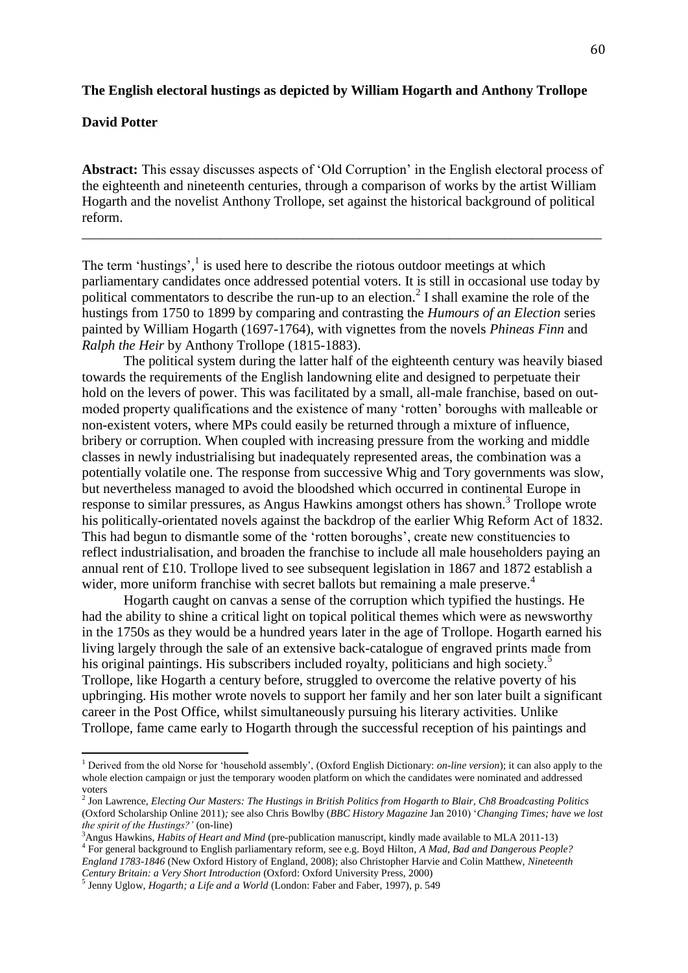#### **The English electoral hustings as depicted by William Hogarth and Anthony Trollope**

# **David Potter**

l

**Abstract:** This essay discusses aspects of 'Old Corruption' in the English electoral process of the eighteenth and nineteenth centuries, through a comparison of works by the artist William Hogarth and the novelist Anthony Trollope, set against the historical background of political reform.

\_\_\_\_\_\_\_\_\_\_\_\_\_\_\_\_\_\_\_\_\_\_\_\_\_\_\_\_\_\_\_\_\_\_\_\_\_\_\_\_\_\_\_\_\_\_\_\_\_\_\_\_\_\_\_\_\_\_\_\_\_\_\_\_\_\_\_\_\_\_\_\_\_\_\_

The term 'hustings',<sup>1</sup> is used here to describe the riotous outdoor meetings at which parliamentary candidates once addressed potential voters. It is still in occasional use today by political commentators to describe the run-up to an election.<sup>2</sup> I shall examine the role of the hustings from 1750 to 1899 by comparing and contrasting the *Humours of an Election* series painted by William Hogarth (1697-1764), with vignettes from the novels *Phineas Finn* and *Ralph the Heir* by Anthony Trollope (1815-1883).

The political system during the latter half of the eighteenth century was heavily biased towards the requirements of the English landowning elite and designed to perpetuate their hold on the levers of power. This was facilitated by a small, all-male franchise, based on outmoded property qualifications and the existence of many 'rotten' boroughs with malleable or non-existent voters, where MPs could easily be returned through a mixture of influence, bribery or corruption. When coupled with increasing pressure from the working and middle classes in newly industrialising but inadequately represented areas, the combination was a potentially volatile one. The response from successive Whig and Tory governments was slow, but nevertheless managed to avoid the bloodshed which occurred in continental Europe in response to similar pressures, as Angus Hawkins amongst others has shown.<sup>3</sup> Trollope wrote his politically-orientated novels against the backdrop of the earlier Whig Reform Act of 1832. This had begun to dismantle some of the 'rotten boroughs', create new constituencies to reflect industrialisation, and broaden the franchise to include all male householders paying an annual rent of £10. Trollope lived to see subsequent legislation in 1867 and 1872 establish a wider, more uniform franchise with secret ballots but remaining a male preserve.<sup>4</sup>

Hogarth caught on canvas a sense of the corruption which typified the hustings. He had the ability to shine a critical light on topical political themes which were as newsworthy in the 1750s as they would be a hundred years later in the age of Trollope. Hogarth earned his living largely through the sale of an extensive back-catalogue of engraved prints made from his original paintings. His subscribers included royalty, politicians and high society.<sup>5</sup> Trollope, like Hogarth a century before, struggled to overcome the relative poverty of his upbringing. His mother wrote novels to support her family and her son later built a significant career in the Post Office, whilst simultaneously pursuing his literary activities. Unlike Trollope, fame came early to Hogarth through the successful reception of his paintings and

<sup>1</sup> Derived from the old Norse for 'household assembly', (Oxford English Dictionary: *on-line version*); it can also apply to the whole election campaign or just the temporary wooden platform on which the candidates were nominated and addressed voters

<sup>2</sup> Jon Lawrence, *Electing Our Masters: The Hustings in British Politics from Hogarth to Blair, Ch8 Broadcasting Politics*  (Oxford Scholarship Online 2011)*;* see also Chris Bowlby (*BBC History Magazine* Jan 2010) '*Changing Times; have we lost the spirit of the Hustings?'* (on-line)

<sup>3</sup>Angus Hawkins, *Habits of Heart and Mind* (pre-publication manuscript, kindly made available to MLA 2011-13)

<sup>4</sup> For general background to English parliamentary reform, see e.g. Boyd Hilton, *A Mad, Bad and Dangerous People? England 1783-1846* (New Oxford History of England, 2008); also Christopher Harvie and Colin Matthew, *Nineteenth Century Britain: a Very Short Introduction* (Oxford: Oxford University Press, 2000)

<sup>5</sup> Jenny Uglow, *Hogarth; a Life and a World* (London: Faber and Faber, 1997), p. 549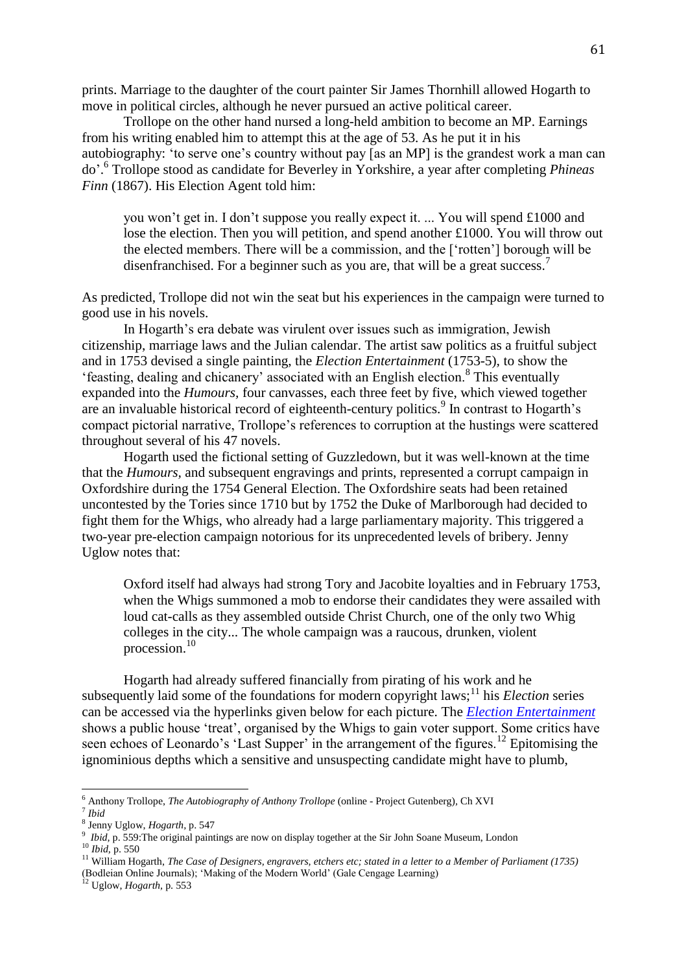prints. Marriage to the daughter of the court painter Sir James Thornhill allowed Hogarth to move in political circles, although he never pursued an active political career.

Trollope on the other hand nursed a long-held ambition to become an MP. Earnings from his writing enabled him to attempt this at the age of 53. As he put it in his autobiography: 'to serve one's country without pay [as an MP] is the grandest work a man can do'. 6 Trollope stood as candidate for Beverley in Yorkshire, a year after completing *Phineas Finn* (1867). His Election Agent told him:

you won't get in. I don't suppose you really expect it. ... You will spend £1000 and lose the election. Then you will petition, and spend another £1000. You will throw out the elected members. There will be a commission, and the ['rotten'] borough will be disenfranchised. For a beginner such as you are, that will be a great success.<sup>7</sup>

As predicted, Trollope did not win the seat but his experiences in the campaign were turned to good use in his novels.

In Hogarth's era debate was virulent over issues such as immigration, Jewish citizenship, marriage laws and the Julian calendar. The artist saw politics as a fruitful subject and in 1753 devised a single painting, the *Election Entertainment* (1753-5)*,* to show the 'feasting, dealing and chicanery' associated with an English election.<sup>8</sup> This eventually expanded into the *Humours,* four canvasses, each three feet by five, which viewed together are an invaluable historical record of eighteenth-century politics.<sup>9</sup> In contrast to Hogarth's compact pictorial narrative, Trollope's references to corruption at the hustings were scattered throughout several of his 47 novels.

Hogarth used the fictional setting of Guzzledown, but it was well-known at the time that the *Humours,* and subsequent engravings and prints, represented a corrupt campaign in Oxfordshire during the 1754 General Election. The Oxfordshire seats had been retained uncontested by the Tories since 1710 but by 1752 the Duke of Marlborough had decided to fight them for the Whigs, who already had a large parliamentary majority. This triggered a two-year pre-election campaign notorious for its unprecedented levels of bribery. Jenny Uglow notes that:

Oxford itself had always had strong Tory and Jacobite loyalties and in February 1753, when the Whigs summoned a mob to endorse their candidates they were assailed with loud cat-calls as they assembled outside Christ Church, one of the only two Whig colleges in the city... The whole campaign was a raucous, drunken, violent procession.<sup>10</sup>

Hogarth had already suffered financially from pirating of his work and he subsequently laid some of the foundations for modern copyright laws;<sup>11</sup> his *Election* series can be accessed via the hyperlinks given below for each picture. The *[Election Entertainment](http://upload.wikimedia.org/wikipedia/commons/6/63/William_Hogarth_028.jpg)* shows a public house 'treat', organised by the Whigs to gain voter support. Some critics have seen echoes of Leonardo's 'Last Supper' in the arrangement of the figures.<sup>12</sup> Epitomising the ignominious depths which a sensitive and unsuspecting candidate might have to plumb,

 $\overline{a}$ 

(Bodleian Online Journals); 'Making of the Modern World' (Gale Cengage Learning)

<sup>12</sup> Uglow, *Hogarth,* p. 553

<sup>6</sup> Anthony Trollope, *The Autobiography of Anthony Trollope* (online - Project Gutenberg)*,* Ch XVI

<sup>&</sup>lt;sup>7</sup> Ibid<br><sup>8</sup> Ian

Jenny Uglow, *Hogarth,* p. 547

<sup>&</sup>lt;sup>9</sup> Ibid, p. 559: The original paintings are now on display together at the Sir John Soane Museum, London

<sup>10</sup> *Ibid,* p. 550

<sup>11</sup> William Hogarth, *The Case of Designers, engravers, etchers etc; stated in a letter to a Member of Parliament (1735)*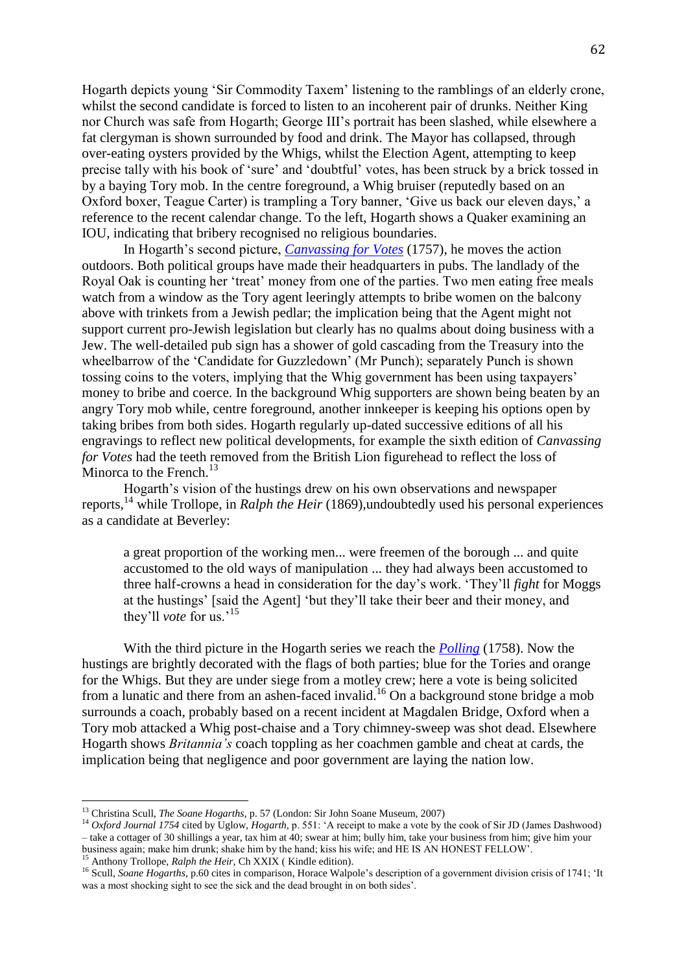Hogarth depicts young 'Sir Commodity Taxem' listening to the ramblings of an elderly crone, whilst the second candidate is forced to listen to an incoherent pair of drunks. Neither King nor Church was safe from Hogarth; George III's portrait has been slashed, while elsewhere a fat clergyman is shown surrounded by food and drink. The Mayor has collapsed, through over-eating oysters provided by the Whigs, whilst the Election Agent, attempting to keep precise tally with his book of 'sure' and 'doubtful' votes, has been struck by a brick tossed in by a baying Tory mob. In the centre foreground, a Whig bruiser (reputedly based on an Oxford boxer, Teague Carter) is trampling a Tory banner, 'Give us back our eleven days,' a reference to the recent calendar change. To the left, Hogarth shows a Quaker examining an IOU, indicating that bribery recognised no religious boundaries.

In Hogarth's second picture, *[Canvassing for Votes](http://upload.wikimedia.org/wikipedia/commons/4/4f/William_Hogarth_032.jpg)* (1757), he moves the action outdoors. Both political groups have made their headquarters in pubs. The landlady of the Royal Oak is counting her 'treat' money from one of the parties. Two men eating free meals watch from a window as the Tory agent leeringly attempts to bribe women on the balcony above with trinkets from a Jewish pedlar; the implication being that the Agent might not support current pro-Jewish legislation but clearly has no qualms about doing business with a Jew. The well-detailed pub sign has a shower of gold cascading from the Treasury into the wheelbarrow of the 'Candidate for Guzzledown' (Mr Punch); separately Punch is shown tossing coins to the voters, implying that the Whig government has been using taxpayers' money to bribe and coerce. In the background Whig supporters are shown being beaten by an angry Tory mob while, centre foreground, another innkeeper is keeping his options open by taking bribes from both sides. Hogarth regularly up-dated successive editions of all his engravings to reflect new political developments, for example the sixth edition of *Canvassing for Votes* had the teeth removed from the British Lion figurehead to reflect the loss of Minorca to the French.<sup>13</sup>

Hogarth's vision of the hustings drew on his own observations and newspaper reports,<sup>14</sup> while Trollope, in *Ralph the Heir* (1869)*,*undoubtedly used his personal experiences as a candidate at Beverley:

a great proportion of the working men... were freemen of the borough ... and quite accustomed to the old ways of manipulation ... they had always been accustomed to three half-crowns a head in consideration for the day's work. 'They'll *fight* for Moggs at the hustings' [said the Agent] 'but they'll take their beer and their money, and they'll *vote* for us.'<sup>15</sup>

With the third picture in the Hogarth series we reach the *[Polling](http://upload.wikimedia.org/wikipedia/commons/6/65/William_Hogarth_031.jpg)* (1758). Now the hustings are brightly decorated with the flags of both parties; blue for the Tories and orange for the Whigs. But they are under siege from a motley crew; here a vote is being solicited from a lunatic and there from an ashen-faced invalid.<sup>16</sup> On a background stone bridge a mob surrounds a coach, probably based on a recent incident at Magdalen Bridge, Oxford when a Tory mob attacked a Whig post-chaise and a Tory chimney-sweep was shot dead. Elsewhere Hogarth shows *Britannia's* coach toppling as her coachmen gamble and cheat at cards, the implication being that negligence and poor government are laying the nation low.

<sup>15</sup> Anthony Trollope, *Ralph the Heir*, Ch XXIX (Kindle edition).

 $\overline{\phantom{a}}$ 

<sup>13</sup> Christina Scull, *The Soane Hogarths,* p. 57 (London: Sir John Soane Museum, 2007)

<sup>&</sup>lt;sup>14</sup> *Oxford Journal 1754* cited by Uglow, *Hogarth*, p. 551: 'A receipt to make a vote by the cook of Sir JD (James Dashwood) – take a cottager of 30 shillings a year, tax him at 40; swear at him; bully him, take your business from him; give him your business again; make him drunk; shake him by the hand; kiss his wife; and HE IS AN HONEST FELLOW'.

<sup>&</sup>lt;sup>16</sup> Scull, *Soane Hogarths*, p.60 cites in comparison, Horace Walpole's description of a government division crisis of 1741; 'It was a most shocking sight to see the sick and the dead brought in on both sides'.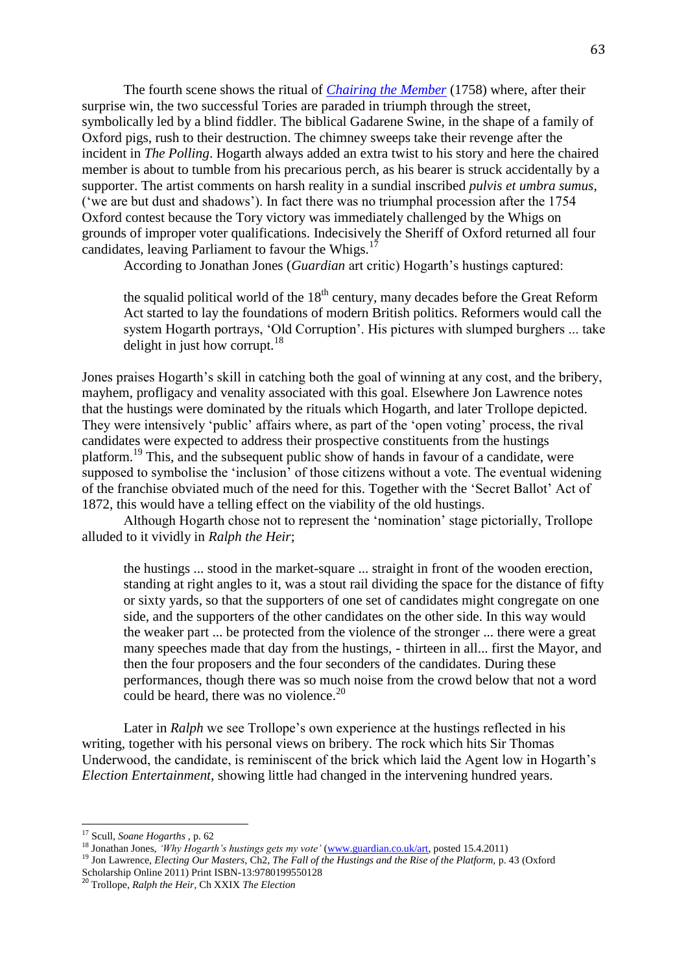The fourth scene shows the ritual of *[Chairing the Member](http://upload.wikimedia.org/wikipedia/commons/5/5b/William_Hogarth_029.jpg)* (1758) where, after their surprise win, the two successful Tories are paraded in triumph through the street, symbolically led by a blind fiddler. The biblical Gadarene Swine, in the shape of a family of Oxford pigs, rush to their destruction. The chimney sweeps take their revenge after the incident in *The Polling*. Hogarth always added an extra twist to his story and here the chaired member is about to tumble from his precarious perch, as his bearer is struck accidentally by a supporter. The artist comments on harsh reality in a sundial inscribed *pulvis et umbra sumus,*  ('we are but dust and shadows'). In fact there was no triumphal procession after the 1754 Oxford contest because the Tory victory was immediately challenged by the Whigs on grounds of improper voter qualifications. Indecisively the Sheriff of Oxford returned all four candidates, leaving Parliament to favour the Whigs.<sup>17</sup>

According to Jonathan Jones (*Guardian* art critic) Hogarth's hustings captured:

the squalid political world of the  $18<sup>th</sup>$  century, many decades before the Great Reform Act started to lay the foundations of modern British politics. Reformers would call the system Hogarth portrays, 'Old Corruption'. His pictures with slumped burghers ... take delight in just how corrupt. $18$ 

Jones praises Hogarth's skill in catching both the goal of winning at any cost, and the bribery, mayhem, profligacy and venality associated with this goal. Elsewhere Jon Lawrence notes that the hustings were dominated by the rituals which Hogarth, and later Trollope depicted. They were intensively 'public' affairs where, as part of the 'open voting' process, the rival candidates were expected to address their prospective constituents from the hustings platform.<sup>19</sup> This, and the subsequent public show of hands in favour of a candidate, were supposed to symbolise the 'inclusion' of those citizens without a vote. The eventual widening of the franchise obviated much of the need for this. Together with the 'Secret Ballot' Act of 1872, this would have a telling effect on the viability of the old hustings.

Although Hogarth chose not to represent the 'nomination' stage pictorially, Trollope alluded to it vividly in *Ralph the Heir*;

the hustings ... stood in the market-square ... straight in front of the wooden erection, standing at right angles to it, was a stout rail dividing the space for the distance of fifty or sixty yards, so that the supporters of one set of candidates might congregate on one side, and the supporters of the other candidates on the other side. In this way would the weaker part ... be protected from the violence of the stronger ... there were a great many speeches made that day from the hustings, - thirteen in all... first the Mayor, and then the four proposers and the four seconders of the candidates. During these performances, though there was so much noise from the crowd below that not a word could be heard, there was no violence. $20$ 

Later in *Ralph* we see Trollope's own experience at the hustings reflected in his writing, together with his personal views on bribery. The rock which hits Sir Thomas Underwood, the candidate, is reminiscent of the brick which laid the Agent low in Hogarth's *Election Entertainment,* showing little had changed in the intervening hundred years.

 $\overline{\phantom{a}}$ 

<sup>17</sup> Scull, *Soane Hogarths* , p. 62

<sup>18</sup> Jonathan Jones, *'Why Hogarth's hustings gets my vote'* [\(www.guardian.co.uk/art,](http://www.guardian.co.uk/art) posted 15.4.2011)

<sup>&</sup>lt;sup>19</sup> Jon Lawrence, *Electing Our Masters*, Ch2, *The Fall of the Hustings and the Rise of the Platform*, p. 43 (Oxford Scholarship Online 2011) Print ISBN-13:9780199550128

<sup>20</sup> Trollope, *Ralph the Heir,* Ch XXIX *The Election*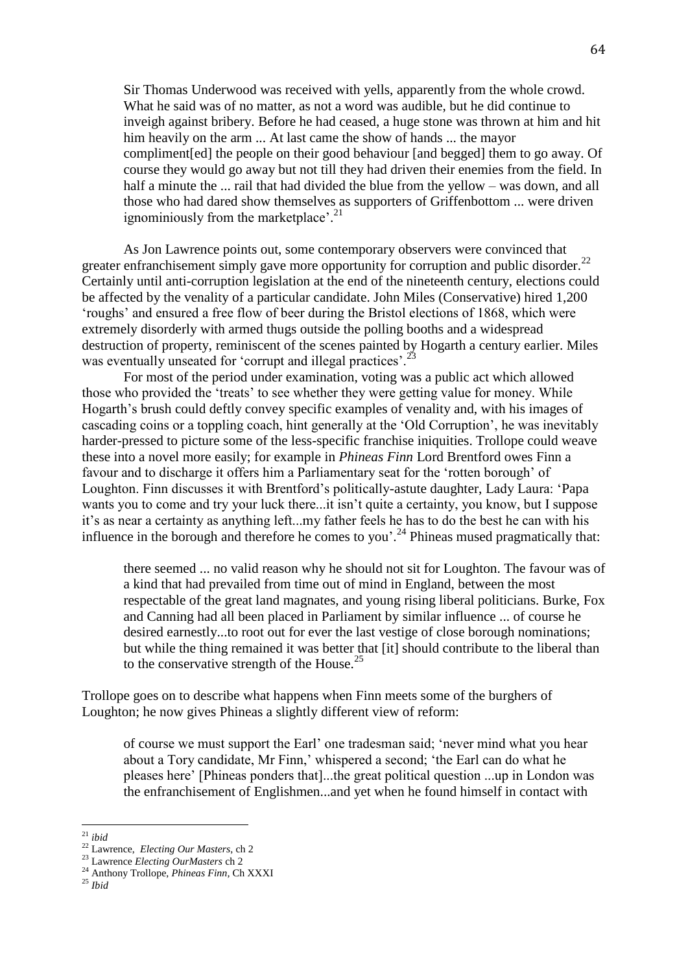Sir Thomas Underwood was received with yells, apparently from the whole crowd. What he said was of no matter, as not a word was audible, but he did continue to inveigh against bribery. Before he had ceased, a huge stone was thrown at him and hit him heavily on the arm ... At last came the show of hands ... the mayor compliment[ed] the people on their good behaviour [and begged] them to go away. Of course they would go away but not till they had driven their enemies from the field. In half a minute the ... rail that had divided the blue from the yellow – was down, and all those who had dared show themselves as supporters of Griffenbottom ... were driven ignominiously from the marketplace'.<sup>21</sup>

As Jon Lawrence points out, some contemporary observers were convinced that greater enfranchisement simply gave more opportunity for corruption and public disorder.<sup>22</sup> Certainly until anti-corruption legislation at the end of the nineteenth century, elections could be affected by the venality of a particular candidate. John Miles (Conservative) hired 1,200 'roughs' and ensured a free flow of beer during the Bristol elections of 1868, which were extremely disorderly with armed thugs outside the polling booths and a widespread destruction of property, reminiscent of the scenes painted by Hogarth a century earlier. Miles was eventually unseated for 'corrupt and illegal practices'.<sup>23</sup>

For most of the period under examination, voting was a public act which allowed those who provided the 'treats' to see whether they were getting value for money. While Hogarth's brush could deftly convey specific examples of venality and, with his images of cascading coins or a toppling coach, hint generally at the 'Old Corruption', he was inevitably harder-pressed to picture some of the less-specific franchise iniquities. Trollope could weave these into a novel more easily; for example in *Phineas Finn* Lord Brentford owes Finn a favour and to discharge it offers him a Parliamentary seat for the 'rotten borough' of Loughton. Finn discusses it with Brentford's politically-astute daughter, Lady Laura: 'Papa wants you to come and try your luck there...it isn't quite a certainty, you know, but I suppose it's as near a certainty as anything left...my father feels he has to do the best he can with his influence in the borough and therefore he comes to you'.<sup>24</sup> Phineas mused pragmatically that:

there seemed ... no valid reason why he should not sit for Loughton. The favour was of a kind that had prevailed from time out of mind in England, between the most respectable of the great land magnates, and young rising liberal politicians. Burke, Fox and Canning had all been placed in Parliament by similar influence ... of course he desired earnestly...to root out for ever the last vestige of close borough nominations; but while the thing remained it was better that [it] should contribute to the liberal than to the conservative strength of the House.<sup>25</sup>

Trollope goes on to describe what happens when Finn meets some of the burghers of Loughton; he now gives Phineas a slightly different view of reform:

of course we must support the Earl' one tradesman said; 'never mind what you hear about a Tory candidate, Mr Finn,' whispered a second; 'the Earl can do what he pleases here' [Phineas ponders that]...the great political question ...up in London was the enfranchisement of Englishmen...and yet when he found himself in contact with

 $\overline{a}$ <sup>21</sup> *ibid*

<sup>22</sup> Lawrence, *Electing Our Masters*, ch 2

<sup>23</sup> Lawrence *Electing OurMasters* ch 2

<sup>24</sup> Anthony Trollope, *Phineas Finn,* Ch XXXI

<sup>25</sup> *Ibid*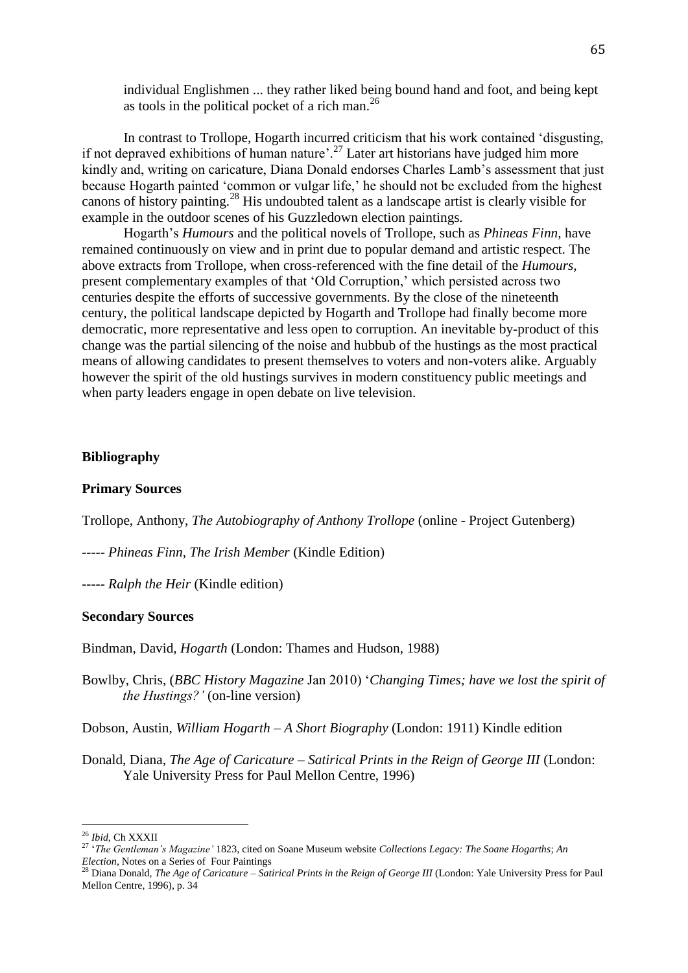individual Englishmen ... they rather liked being bound hand and foot, and being kept as tools in the political pocket of a rich man.<sup>26</sup>

In contrast to Trollope, Hogarth incurred criticism that his work contained 'disgusting, if not depraved exhibitions of human nature'.<sup>27</sup> Later art historians have judged him more kindly and, writing on caricature, Diana Donald endorses Charles Lamb's assessment that just because Hogarth painted 'common or vulgar life,' he should not be excluded from the highest canons of history painting.<sup>28</sup> His undoubted talent as a landscape artist is clearly visible for example in the outdoor scenes of his Guzzledown election paintings*.*

Hogarth's *Humours* and the political novels of Trollope, such as *Phineas Finn,* have remained continuously on view and in print due to popular demand and artistic respect. The above extracts from Trollope, when cross-referenced with the fine detail of the *Humours,* present complementary examples of that 'Old Corruption,' which persisted across two centuries despite the efforts of successive governments. By the close of the nineteenth century, the political landscape depicted by Hogarth and Trollope had finally become more democratic, more representative and less open to corruption. An inevitable by-product of this change was the partial silencing of the noise and hubbub of the hustings as the most practical means of allowing candidates to present themselves to voters and non-voters alike. Arguably however the spirit of the old hustings survives in modern constituency public meetings and when party leaders engage in open debate on live television.

### **Bibliography**

## **Primary Sources**

Trollope, Anthony, *The Autobiography of Anthony Trollope* (online - Project Gutenberg)

----- *Phineas Finn, The Irish Member* (Kindle Edition)

----- *Ralph the Heir* (Kindle edition)

## **Secondary Sources**

Bindman, David, *Hogarth* (London: Thames and Hudson, 1988)

Bowlby, Chris, (*BBC History Magazine* Jan 2010) '*Changing Times; have we lost the spirit of the Hustings?'* (on-line version)

Dobson, Austin, *William Hogarth – A Short Biography* (London: 1911) Kindle edition

Donald, Diana, *The Age of Caricature – Satirical Prints in the Reign of George III* (London: Yale University Press for Paul Mellon Centre, 1996)

 $\overline{a}$ 

<sup>26</sup> *Ibid,* Ch XXXII

<sup>27</sup> '*The Gentleman's Magazine'* 1823, cited on Soane Museum website *Collections Legacy: The Soane Hogarths*; *An Election,* Notes on a Series of Four Paintings

<sup>28</sup> Diana Donald, *The Age of Caricature – Satirical Prints in the Reign of George III* (London: Yale University Press for Paul Mellon Centre, 1996), p. 34